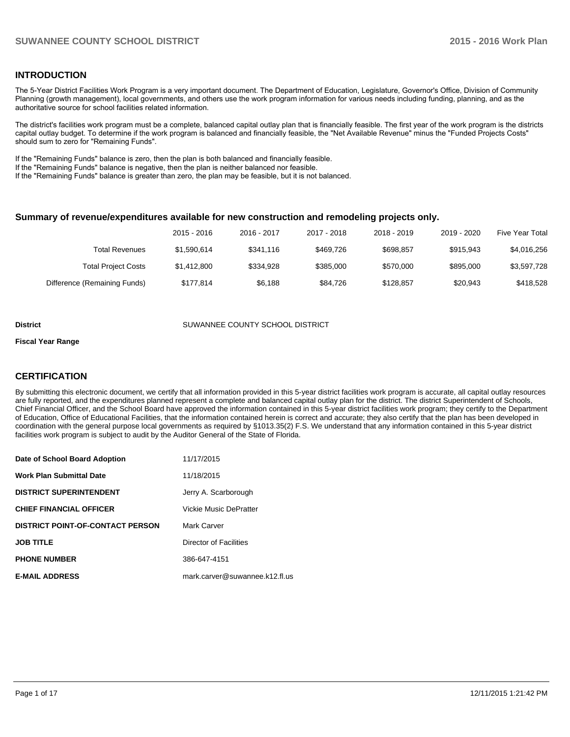# **INTRODUCTION**

The 5-Year District Facilities Work Program is a very important document. The Department of Education, Legislature, Governor's Office, Division of Community Planning (growth management), local governments, and others use the work program information for various needs including funding, planning, and as the authoritative source for school facilities related information.

The district's facilities work program must be a complete, balanced capital outlay plan that is financially feasible. The first year of the work program is the districts capital outlay budget. To determine if the work program is balanced and financially feasible, the "Net Available Revenue" minus the "Funded Projects Costs" should sum to zero for "Remaining Funds".

If the "Remaining Funds" balance is zero, then the plan is both balanced and financially feasible.

If the "Remaining Funds" balance is negative, then the plan is neither balanced nor feasible.

If the "Remaining Funds" balance is greater than zero, the plan may be feasible, but it is not balanced.

#### **Summary of revenue/expenditures available for new construction and remodeling projects only.**

|                              | 2015 - 2016 | 2016 - 2017 | 2017 - 2018 | 2018 - 2019 | 2019 - 2020 | <b>Five Year Total</b> |
|------------------------------|-------------|-------------|-------------|-------------|-------------|------------------------|
| <b>Total Revenues</b>        | \$1,590,614 | \$341.116   | \$469.726   | \$698,857   | \$915.943   | \$4,016,256            |
| <b>Total Project Costs</b>   | \$1,412,800 | \$334.928   | \$385,000   | \$570,000   | \$895,000   | \$3,597,728            |
| Difference (Remaining Funds) | \$177.814   | \$6.188     | \$84.726    | \$128.857   | \$20.943    | \$418,528              |

#### **District COUNTY SCHOOL DISTRICT** SUWANNEE COUNTY SCHOOL DISTRICT

#### **Fiscal Year Range**

# **CERTIFICATION**

By submitting this electronic document, we certify that all information provided in this 5-year district facilities work program is accurate, all capital outlay resources are fully reported, and the expenditures planned represent a complete and balanced capital outlay plan for the district. The district Superintendent of Schools, Chief Financial Officer, and the School Board have approved the information contained in this 5-year district facilities work program; they certify to the Department of Education, Office of Educational Facilities, that the information contained herein is correct and accurate; they also certify that the plan has been developed in coordination with the general purpose local governments as required by §1013.35(2) F.S. We understand that any information contained in this 5-year district facilities work program is subject to audit by the Auditor General of the State of Florida.

| Date of School Board Adoption           | 11/17/2015                     |
|-----------------------------------------|--------------------------------|
| <b>Work Plan Submittal Date</b>         | 11/18/2015                     |
| <b>DISTRICT SUPERINTENDENT</b>          | Jerry A. Scarborough           |
| <b>CHIEF FINANCIAL OFFICER</b>          | <b>Vickie Music DePratter</b>  |
| <b>DISTRICT POINT-OF-CONTACT PERSON</b> | Mark Carver                    |
| <b>JOB TITLE</b>                        | Director of Facilities         |
| <b>PHONE NUMBER</b>                     | 386-647-4151                   |
| <b>E-MAIL ADDRESS</b>                   | mark.carver@suwannee.k12.fl.us |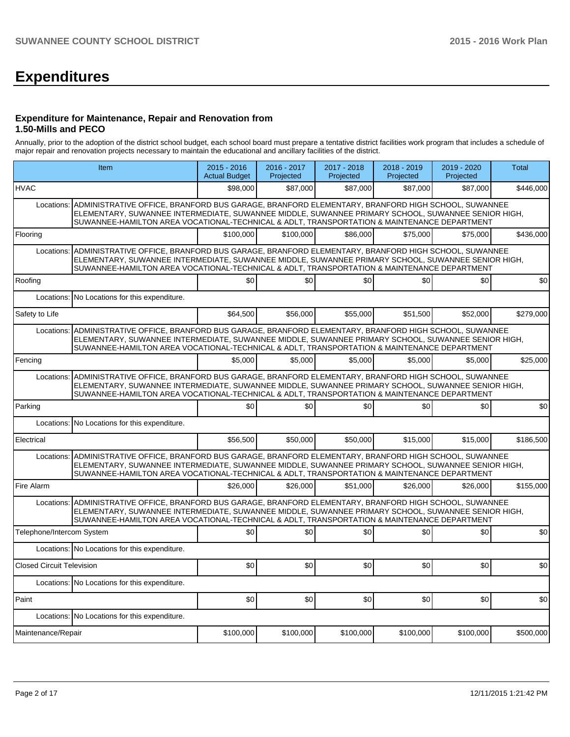# **Expenditures**

### **Expenditure for Maintenance, Repair and Renovation from 1.50-Mills and PECO**

Annually, prior to the adoption of the district school budget, each school board must prepare a tentative district facilities work program that includes a schedule of major repair and renovation projects necessary to maintain the educational and ancillary facilities of the district.

|                                  | Item                                                                                                                                                                                                                                                                                                            |           | 2016 - 2017<br>Projected | 2017 - 2018<br>Projected | 2018 - 2019<br>Projected | 2019 - 2020<br>Projected | <b>Total</b> |
|----------------------------------|-----------------------------------------------------------------------------------------------------------------------------------------------------------------------------------------------------------------------------------------------------------------------------------------------------------------|-----------|--------------------------|--------------------------|--------------------------|--------------------------|--------------|
| <b>HVAC</b>                      |                                                                                                                                                                                                                                                                                                                 | \$98,000  | \$87,000                 | \$87,000                 | \$87,000                 | \$87,000                 | \$446,000    |
| Locations:                       | ADMINISTRATIVE OFFICE, BRANFORD BUS GARAGE, BRANFORD ELEMENTARY, BRANFORD HIGH SCHOOL, SUWANNEE<br>ELEMENTARY, SUWANNEE INTERMEDIATE, SUWANNEE MIDDLE, SUWANNEE PRIMARY SCHOOL, SUWANNEE SENIOR HIGH,<br>SUWANNEE-HAMILTON AREA VOCATIONAL-TECHNICAL & ADLT, TRANSPORTATION & MAINTENANCE DEPARTMENT            |           |                          |                          |                          |                          |              |
| Flooring                         |                                                                                                                                                                                                                                                                                                                 | \$100.000 | \$100,000                | \$86,000                 | \$75,000                 | \$75,000                 | \$436,000    |
|                                  | Locations: ADMINISTRATIVE OFFICE, BRANFORD BUS GARAGE, BRANFORD ELEMENTARY, BRANFORD HIGH SCHOOL, SUWANNEE<br>ELEMENTARY, SUWANNEE INTERMEDIATE, SUWANNEE MIDDLE, SUWANNEE PRIMARY SCHOOL, SUWANNEE SENIOR HIGH,<br>SUWANNEE-HAMILTON AREA VOCATIONAL-TECHNICAL & ADLT, TRANSPORTATION & MAINTENANCE DEPARTMENT |           |                          |                          |                          |                          |              |
| Roofing                          |                                                                                                                                                                                                                                                                                                                 | \$0       | \$0                      | \$0                      | \$0                      | \$0                      | \$0          |
|                                  | Locations: No Locations for this expenditure.                                                                                                                                                                                                                                                                   |           |                          |                          |                          |                          |              |
| Safety to Life                   |                                                                                                                                                                                                                                                                                                                 | \$64,500  | \$56,000                 | \$55,000                 | \$51,500                 | \$52,000                 | \$279.000    |
| Locations:                       | ADMINISTRATIVE OFFICE, BRANFORD BUS GARAGE, BRANFORD ELEMENTARY, BRANFORD HIGH SCHOOL, SUWANNEE<br>ELEMENTARY, SUWANNEE INTERMEDIATE, SUWANNEE MIDDLE, SUWANNEE PRIMARY SCHOOL, SUWANNEE SENIOR HIGH,<br>SUWANNEE-HAMILTON AREA VOCATIONAL-TECHNICAL & ADLT, TRANSPORTATION & MAINTENANCE DEPARTMENT            |           |                          |                          |                          |                          |              |
| Fencing                          |                                                                                                                                                                                                                                                                                                                 | \$5.000   | \$5.000                  | \$5,000                  | \$5,000                  | \$5,000                  | \$25,000     |
|                                  | Locations: ADMINISTRATIVE OFFICE, BRANFORD BUS GARAGE, BRANFORD ELEMENTARY, BRANFORD HIGH SCHOOL, SUWANNEE<br>ELEMENTARY, SUWANNEE INTERMEDIATE, SUWANNEE MIDDLE, SUWANNEE PRIMARY SCHOOL, SUWANNEE SENIOR HIGH,<br>SUWANNEE-HAMILTON AREA VOCATIONAL-TECHNICAL & ADLT, TRANSPORTATION & MAINTENANCE DEPARTMENT |           |                          |                          |                          |                          |              |
| Parking                          |                                                                                                                                                                                                                                                                                                                 | \$0       | \$0                      | \$0                      | \$0                      | \$0                      | \$0          |
|                                  | Locations: No Locations for this expenditure.                                                                                                                                                                                                                                                                   |           |                          |                          |                          |                          |              |
| Electrical                       |                                                                                                                                                                                                                                                                                                                 | \$56,500  | \$50,000                 | \$50,000                 | \$15,000                 | \$15,000                 | \$186,500    |
| Locations:                       | ADMINISTRATIVE OFFICE, BRANFORD BUS GARAGE, BRANFORD ELEMENTARY, BRANFORD HIGH SCHOOL, SUWANNEE<br>ELEMENTARY, SUWANNEE INTERMEDIATE, SUWANNEE MIDDLE, SUWANNEE PRIMARY SCHOOL, SUWANNEE SENIOR HIGH,<br>SUWANNEE-HAMILTON AREA VOCATIONAL-TECHNICAL & ADLT, TRANSPORTATION & MAINTENANCE DEPARTMENT            |           |                          |                          |                          |                          |              |
| Fire Alarm                       |                                                                                                                                                                                                                                                                                                                 | \$26,000  | \$26,000                 | \$51,000                 | \$26,000                 | \$26,000                 | \$155,000    |
|                                  | Locations: ADMINISTRATIVE OFFICE, BRANFORD BUS GARAGE, BRANFORD ELEMENTARY, BRANFORD HIGH SCHOOL, SUWANNEE<br>ELEMENTARY, SUWANNEE INTERMEDIATE, SUWANNEE MIDDLE, SUWANNEE PRIMARY SCHOOL, SUWANNEE SENIOR HIGH,<br>SUWANNEE-HAMILTON AREA VOCATIONAL-TECHNICAL & ADLT, TRANSPORTATION & MAINTENANCE DEPARTMENT |           |                          |                          |                          |                          |              |
| Telephone/Intercom System        |                                                                                                                                                                                                                                                                                                                 | \$0       | \$0                      | \$0                      | \$0                      | \$0                      | \$0          |
|                                  | Locations: No Locations for this expenditure.                                                                                                                                                                                                                                                                   |           |                          |                          |                          |                          |              |
| <b>Closed Circuit Television</b> |                                                                                                                                                                                                                                                                                                                 | \$0       | \$0                      | \$0                      | \$0 <sub>1</sub>         | \$0                      | \$0          |
|                                  | Locations: No Locations for this expenditure.                                                                                                                                                                                                                                                                   |           |                          |                          |                          |                          |              |
| Paint                            |                                                                                                                                                                                                                                                                                                                 | \$0       | \$0                      | \$0                      | \$0                      | \$0                      | \$0          |
|                                  | Locations: No Locations for this expenditure.                                                                                                                                                                                                                                                                   |           |                          |                          |                          |                          |              |
| Maintenance/Repair               |                                                                                                                                                                                                                                                                                                                 | \$100,000 | \$100,000                | \$100,000                | \$100,000                | \$100,000                | \$500,000    |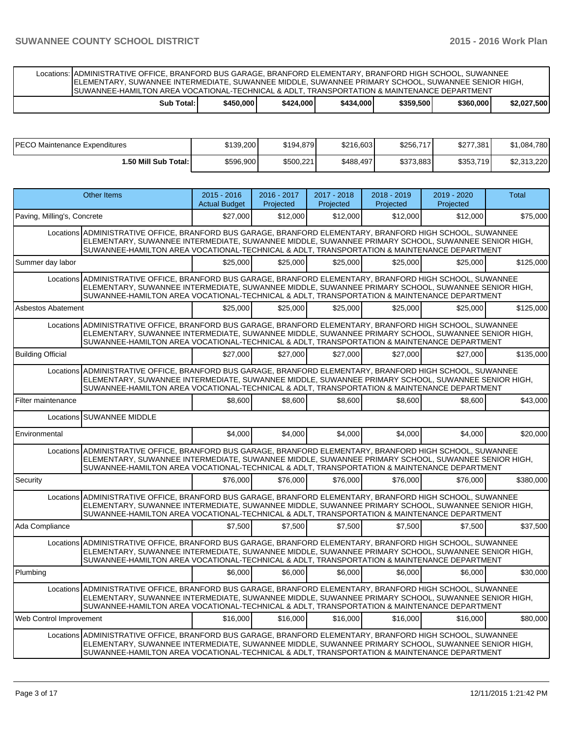Locations: ADMINISTRATIVE OFFICE, BRANFORD BUS GARAGE, BRANFORD ELEMENTARY, BRANFORD HIGH SCHOOL, SUWANNEE ELEMENTARY, SUWANNEE INTERMEDIATE, SUWANNEE MIDDLE, SUWANNEE PRIMARY SCHOOL, SUWANNEE SENIOR HIGH, SUWANNEE-HAMILTON AREA VOCATIONAL-TECHNICAL & ADLT, TRANSPORTATION & MAINTENANCE DEPARTMENT

|  | Sub<br>Total: | '450.000 | \$424,000 | $+000'$<br>\$434 | \$359,500 | \$360,000 | \$2.027.500 |
|--|---------------|----------|-----------|------------------|-----------|-----------|-------------|
|--|---------------|----------|-----------|------------------|-----------|-----------|-------------|

| PECO Maintenance Expenditures | \$139,200 | \$194,879 | \$216,603 | \$256,717 | \$277,381 | \$1,084,780 |
|-------------------------------|-----------|-----------|-----------|-----------|-----------|-------------|
| <b>1.50 Mill Sub Total: I</b> | \$596,900 | \$500,221 | \$488,497 | \$373,883 | \$353,719 | \$2,313,220 |

|                             | <b>Other Items</b>                                                                                                                                                                                                                                                                                             | 2015 - 2016<br><b>Actual Budget</b> | 2016 - 2017<br>Projected | 2017 - 2018<br>Projected | 2018 - 2019<br>Projected | 2019 - 2020<br>Projected | <b>Total</b> |  |
|-----------------------------|----------------------------------------------------------------------------------------------------------------------------------------------------------------------------------------------------------------------------------------------------------------------------------------------------------------|-------------------------------------|--------------------------|--------------------------|--------------------------|--------------------------|--------------|--|
| Paving, Milling's, Concrete |                                                                                                                                                                                                                                                                                                                | \$27,000                            | \$12,000                 | \$12,000                 | \$12,000                 | \$12,000                 | \$75,000     |  |
|                             | Locations ADMINISTRATIVE OFFICE, BRANFORD BUS GARAGE, BRANFORD ELEMENTARY, BRANFORD HIGH SCHOOL, SUWANNEE<br>ELEMENTARY, SUWANNEE INTERMEDIATE, SUWANNEE MIDDLE, SUWANNEE PRIMARY SCHOOL, SUWANNEE SENIOR HIGH,<br>SUWANNEE-HAMILTON AREA VOCATIONAL-TECHNICAL & ADLT, TRANSPORTATION & MAINTENANCE DEPARTMENT |                                     |                          |                          |                          |                          |              |  |
| Summer day labor            |                                                                                                                                                                                                                                                                                                                | \$25,000                            | \$25.000                 | \$25,000                 | \$25,000                 | \$25,000                 | \$125.000    |  |
|                             | Locations ADMINISTRATIVE OFFICE, BRANFORD BUS GARAGE, BRANFORD ELEMENTARY, BRANFORD HIGH SCHOOL, SUWANNEE<br>ELEMENTARY, SUWANNEE INTERMEDIATE, SUWANNEE MIDDLE, SUWANNEE PRIMARY SCHOOL, SUWANNEE SENIOR HIGH,<br>SUWANNEE-HAMILTON AREA VOCATIONAL-TECHNICAL & ADLT, TRANSPORTATION & MAINTENANCE DEPARTMENT |                                     |                          |                          |                          |                          |              |  |
| <b>Asbestos Abatement</b>   |                                                                                                                                                                                                                                                                                                                | \$25,000                            | \$25,000                 | \$25,000                 | \$25,000                 | \$25,000                 | \$125,000    |  |
|                             | Locations ADMINISTRATIVE OFFICE, BRANFORD BUS GARAGE, BRANFORD ELEMENTARY, BRANFORD HIGH SCHOOL, SUWANNEE<br>ELEMENTARY, SUWANNEE INTERMEDIATE, SUWANNEE MIDDLE, SUWANNEE PRIMARY SCHOOL, SUWANNEE SENIOR HIGH,<br>SUWANNEE-HAMILTON AREA VOCATIONAL-TECHNICAL & ADLT, TRANSPORTATION & MAINTENANCE DEPARTMENT |                                     |                          |                          |                          |                          |              |  |
| <b>Building Official</b>    |                                                                                                                                                                                                                                                                                                                | \$27.000                            | \$27,000                 | \$27.000                 | \$27,000                 | \$27,000                 | \$135,000    |  |
|                             | Locations ADMINISTRATIVE OFFICE, BRANFORD BUS GARAGE, BRANFORD ELEMENTARY, BRANFORD HIGH SCHOOL, SUWANNEE<br>ELEMENTARY, SUWANNEE INTERMEDIATE, SUWANNEE MIDDLE, SUWANNEE PRIMARY SCHOOL, SUWANNEE SENIOR HIGH,<br>SUWANNEE-HAMILTON AREA VOCATIONAL-TECHNICAL & ADLT, TRANSPORTATION & MAINTENANCE DEPARTMENT |                                     |                          |                          |                          |                          |              |  |
| Filter maintenance          |                                                                                                                                                                                                                                                                                                                | \$8,600                             | \$8,600                  | \$8,600                  | \$8,600                  | \$8,600                  | \$43,000     |  |
|                             | Locations SUWANNEE MIDDLE                                                                                                                                                                                                                                                                                      |                                     |                          |                          |                          |                          |              |  |
| Environmental               |                                                                                                                                                                                                                                                                                                                | \$4.000                             | \$4,000                  | \$4,000                  | \$4.000                  | \$4.000                  | \$20,000     |  |
|                             | Locations ADMINISTRATIVE OFFICE, BRANFORD BUS GARAGE, BRANFORD ELEMENTARY, BRANFORD HIGH SCHOOL, SUWANNEE<br>ELEMENTARY, SUWANNEE INTERMEDIATE, SUWANNEE MIDDLE, SUWANNEE PRIMARY SCHOOL, SUWANNEE SENIOR HIGH,<br>SUWANNEE-HAMILTON AREA VOCATIONAL-TECHNICAL & ADLT, TRANSPORTATION & MAINTENANCE DEPARTMENT |                                     |                          |                          |                          |                          |              |  |
| Security                    |                                                                                                                                                                                                                                                                                                                | \$76,000                            | \$76,000                 | \$76,000                 | \$76,000                 | \$76,000                 | \$380,000    |  |
|                             | Locations ADMINISTRATIVE OFFICE, BRANFORD BUS GARAGE, BRANFORD ELEMENTARY, BRANFORD HIGH SCHOOL, SUWANNEE<br>ELEMENTARY, SUWANNEE INTERMEDIATE, SUWANNEE MIDDLE, SUWANNEE PRIMARY SCHOOL, SUWANNEE SENIOR HIGH,<br>SUWANNEE-HAMILTON AREA VOCATIONAL-TECHNICAL & ADLT, TRANSPORTATION & MAINTENANCE DEPARTMENT |                                     |                          |                          |                          |                          |              |  |
| Ada Compliance              |                                                                                                                                                                                                                                                                                                                | \$7.500                             | \$7,500                  | \$7,500                  | \$7.500                  | \$7,500                  | \$37,500     |  |
|                             | Locations ADMINISTRATIVE OFFICE, BRANFORD BUS GARAGE, BRANFORD ELEMENTARY, BRANFORD HIGH SCHOOL, SUWANNEE<br>ELEMENTARY, SUWANNEE INTERMEDIATE, SUWANNEE MIDDLE, SUWANNEE PRIMARY SCHOOL, SUWANNEE SENIOR HIGH,<br>SUWANNEE-HAMILTON AREA VOCATIONAL-TECHNICAL & ADLT, TRANSPORTATION & MAINTENANCE DEPARTMENT |                                     |                          |                          |                          |                          |              |  |
| Plumbing                    |                                                                                                                                                                                                                                                                                                                | \$6,000                             | \$6,000                  | \$6,000                  | \$6.000                  | \$6,000                  | \$30.000     |  |
|                             | Locations ADMINISTRATIVE OFFICE, BRANFORD BUS GARAGE, BRANFORD ELEMENTARY, BRANFORD HIGH SCHOOL, SUWANNEE<br>ELEMENTARY, SUWANNEE INTERMEDIATE, SUWANNEE MIDDLE, SUWANNEE PRIMARY SCHOOL, SUWANNEE SENIOR HIGH,<br>SUWANNEE-HAMILTON AREA VOCATIONAL-TECHNICAL & ADLT, TRANSPORTATION & MAINTENANCE DEPARTMENT |                                     |                          |                          |                          |                          |              |  |
| Web Control Improvement     |                                                                                                                                                                                                                                                                                                                | \$16,000                            | \$16,000                 | \$16,000                 | \$16,000                 | \$16,000                 | \$80,000     |  |
|                             | Locations ADMINISTRATIVE OFFICE, BRANFORD BUS GARAGE, BRANFORD ELEMENTARY, BRANFORD HIGH SCHOOL, SUWANNEE<br>ELEMENTARY, SUWANNEE INTERMEDIATE, SUWANNEE MIDDLE, SUWANNEE PRIMARY SCHOOL, SUWANNEE SENIOR HIGH,<br>SUWANNEE-HAMILTON AREA VOCATIONAL-TECHNICAL & ADLT, TRANSPORTATION & MAINTENANCE DEPARTMENT |                                     |                          |                          |                          |                          |              |  |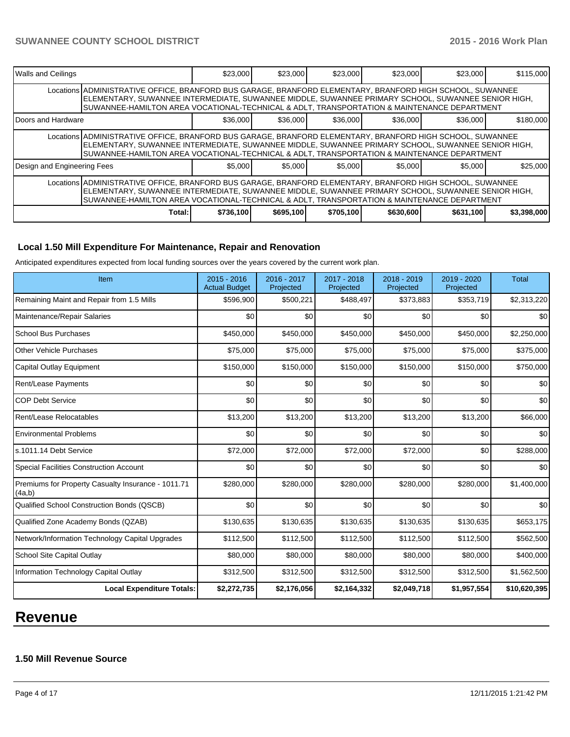| <b>Walls and Ceilings</b>                                                                                                                                                                                                                                                                                      |                                                                                                                                                                                                                                                                                                                | \$23,000 | \$23,000 | \$23,000 | \$23,000 | \$23,000 | \$115,000 |  |  |
|----------------------------------------------------------------------------------------------------------------------------------------------------------------------------------------------------------------------------------------------------------------------------------------------------------------|----------------------------------------------------------------------------------------------------------------------------------------------------------------------------------------------------------------------------------------------------------------------------------------------------------------|----------|----------|----------|----------|----------|-----------|--|--|
|                                                                                                                                                                                                                                                                                                                | Locations ADMINISTRATIVE OFFICE, BRANFORD BUS GARAGE, BRANFORD ELEMENTARY, BRANFORD HIGH SCHOOL, SUWANNEE<br>ELEMENTARY, SUWANNEE INTERMEDIATE, SUWANNEE MIDDLE, SUWANNEE PRIMARY SCHOOL, SUWANNEE SENIOR HIGH,<br>SUWANNEE-HAMILTON AREA VOCATIONAL-TECHNICAL & ADLT, TRANSPORTATION & MAINTENANCE DEPARTMENT |          |          |          |          |          |           |  |  |
| <b>IDoors and Hardware</b>                                                                                                                                                                                                                                                                                     |                                                                                                                                                                                                                                                                                                                | \$36,000 | \$36,000 | \$36,000 | \$36,000 | \$36,000 | \$180,000 |  |  |
|                                                                                                                                                                                                                                                                                                                | Locations ADMINISTRATIVE OFFICE, BRANFORD BUS GARAGE, BRANFORD ELEMENTARY, BRANFORD HIGH SCHOOL, SUWANNEE<br>ELEMENTARY, SUWANNEE INTERMEDIATE, SUWANNEE MIDDLE, SUWANNEE PRIMARY SCHOOL, SUWANNEE SENIOR HIGH,<br>SUWANNEE-HAMILTON AREA VOCATIONAL-TECHNICAL & ADLT. TRANSPORTATION & MAINTENANCE DEPARTMENT |          |          |          |          |          |           |  |  |
| Design and Engineering Fees                                                                                                                                                                                                                                                                                    |                                                                                                                                                                                                                                                                                                                | \$5,000  | \$5,000  | \$5,000  | \$5,000  | \$5,000  | \$25,000  |  |  |
| Locations ADMINISTRATIVE OFFICE, BRANFORD BUS GARAGE, BRANFORD ELEMENTARY, BRANFORD HIGH SCHOOL, SUWANNEE<br>ELEMENTARY, SUWANNEE INTERMEDIATE, SUWANNEE MIDDLE, SUWANNEE PRIMARY SCHOOL, SUWANNEE SENIOR HIGH,<br>SUWANNEE-HAMILTON AREA VOCATIONAL-TECHNICAL & ADLT, TRANSPORTATION & MAINTENANCE DEPARTMENT |                                                                                                                                                                                                                                                                                                                |          |          |          |          |          |           |  |  |
|                                                                                                                                                                                                                                                                                                                | \$695,100<br>\$705,100<br>\$631,100<br>\$736,100<br>\$630,600<br>\$3,398,000<br>Total:                                                                                                                                                                                                                         |          |          |          |          |          |           |  |  |

# **Local 1.50 Mill Expenditure For Maintenance, Repair and Renovation**

Anticipated expenditures expected from local funding sources over the years covered by the current work plan.

| Item                                                         | $2015 - 2016$<br><b>Actual Budget</b> | 2016 - 2017<br>Projected | 2017 - 2018<br>Projected | 2018 - 2019<br>Projected | $2019 - 2020$<br>Projected | <b>Total</b> |
|--------------------------------------------------------------|---------------------------------------|--------------------------|--------------------------|--------------------------|----------------------------|--------------|
| Remaining Maint and Repair from 1.5 Mills                    | \$596,900                             | \$500,221                | \$488,497                | \$373,883                | \$353,719                  | \$2,313,220  |
| Maintenance/Repair Salaries                                  | \$0                                   | \$0                      | \$0                      | \$0                      | \$0                        | \$0          |
| <b>School Bus Purchases</b>                                  | \$450,000                             | \$450,000                | \$450,000                | \$450,000                | \$450,000                  | \$2,250,000  |
| <b>Other Vehicle Purchases</b>                               | \$75,000                              | \$75,000                 | \$75,000                 | \$75,000                 | \$75,000                   | \$375,000    |
| Capital Outlay Equipment                                     | \$150,000                             | \$150,000                | \$150,000                | \$150,000                | \$150,000                  | \$750,000    |
| Rent/Lease Payments                                          | \$0                                   | \$0                      | \$0                      | \$0                      | \$0                        | \$0          |
| <b>COP Debt Service</b>                                      | \$0                                   | \$0                      | \$0                      | \$0                      | \$0                        | \$0          |
| Rent/Lease Relocatables                                      | \$13,200                              | \$13,200                 | \$13,200                 | \$13,200                 | \$13,200                   | \$66,000     |
| <b>Environmental Problems</b>                                | \$0                                   | \$0                      | \$0                      | \$0                      | \$0                        | \$0          |
| s.1011.14 Debt Service                                       | \$72,000                              | \$72,000                 | \$72,000                 | \$72,000                 | \$0                        | \$288,000    |
| <b>Special Facilities Construction Account</b>               | \$0                                   | \$0                      | \$0                      | \$0                      | \$0                        | \$0          |
| Premiums for Property Casualty Insurance - 1011.71<br>(4a,b) | \$280,000                             | \$280,000                | \$280,000                | \$280,000                | \$280,000                  | \$1,400,000  |
| Qualified School Construction Bonds (QSCB)                   | \$0                                   | \$0                      | \$0                      | \$0                      | \$0                        | \$0          |
| Qualified Zone Academy Bonds (QZAB)                          | \$130,635                             | \$130,635                | \$130,635                | \$130,635                | \$130,635                  | \$653,175    |
| Network/Information Technology Capital Upgrades              | \$112,500                             | \$112,500                | \$112,500                | \$112,500                | \$112,500                  | \$562,500    |
| School Site Capital Outlay                                   | \$80,000                              | \$80,000                 | \$80,000                 | \$80,000                 | \$80,000                   | \$400,000    |
| Information Technology Capital Outlay                        | \$312,500                             | \$312,500                | \$312,500                | \$312,500                | \$312,500                  | \$1,562,500  |
| <b>Local Expenditure Totals:</b>                             | \$2,272,735                           | \$2,176,056              | \$2,164,332              | \$2,049,718              | \$1,957,554                | \$10,620,395 |

# **Revenue**

# **1.50 Mill Revenue Source**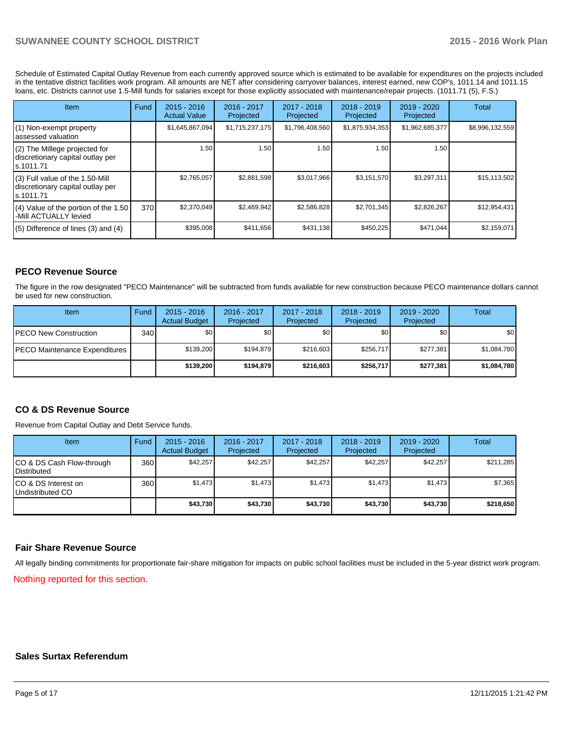Schedule of Estimated Capital Outlay Revenue from each currently approved source which is estimated to be available for expenditures on the projects included in the tentative district facilities work program. All amounts are NET after considering carryover balances, interest earned, new COP's, 1011.14 and 1011.15 loans, etc. Districts cannot use 1.5-Mill funds for salaries except for those explicitly associated with maintenance/repair projects. (1011.71 (5), F.S.)

| Item                                                                              | Fund | $2015 - 2016$<br><b>Actual Value</b> | 2016 - 2017<br>Projected | 2017 - 2018<br>Projected | 2018 - 2019<br>Projected | 2019 - 2020<br>Projected | <b>Total</b>    |
|-----------------------------------------------------------------------------------|------|--------------------------------------|--------------------------|--------------------------|--------------------------|--------------------------|-----------------|
| (1) Non-exempt property<br>assessed valuation                                     |      | \$1,645,867,094                      | \$1,715,237,175          | \$1,796,408,560          | \$1,875,934,353          | \$1,962,685,377          | \$8,996,132,559 |
| (2) The Millege projected for<br>discretionary capital outlay per<br>ls.1011.71   |      | 1.50                                 | 1.50                     | 1.50                     | 1.50                     | 1.50                     |                 |
| (3) Full value of the 1.50-Mill<br>discretionary capital outlay per<br>ls.1011.71 |      | \$2,765,057                          | \$2,881,598              | \$3,017,966              | \$3,151,570              | \$3,297,311              | \$15,113,502    |
| (4) Value of the portion of the 1.50<br>-Mill ACTUALLY levied                     | 370  | \$2,370,049                          | \$2,469,942              | \$2,586,828              | \$2,701,345              | \$2,826,267              | \$12,954,431    |
| $(5)$ Difference of lines (3) and (4)                                             |      | \$395,008                            | \$411,656                | \$431,138                | \$450,225                | \$471,044                | \$2,159,071     |

# **PECO Revenue Source**

The figure in the row designated "PECO Maintenance" will be subtracted from funds available for new construction because PECO maintenance dollars cannot be used for new construction.

| Item                                  | Fund | $2015 - 2016$<br><b>Actual Budget</b> | $2016 - 2017$<br>Projected | 2017 - 2018<br>Projected | $2018 - 2019$<br>Projected | $2019 - 2020$<br>Projected | <b>Total</b> |
|---------------------------------------|------|---------------------------------------|----------------------------|--------------------------|----------------------------|----------------------------|--------------|
| <b>IPECO New Construction</b>         | 340  | \$O I                                 | \$0                        | \$0                      | \$0 <sub>0</sub>           | \$0                        | \$0          |
| <b>IPECO Maintenance Expenditures</b> |      | \$139.200                             | \$194.879                  | \$216,603                | \$256,717                  | \$277.381                  | \$1,084,780  |
|                                       |      | \$139,200                             | \$194.879                  | \$216,603                | \$256.717                  | \$277.381                  | \$1,084,780  |

### **CO & DS Revenue Source**

Revenue from Capital Outlay and Debt Service funds.

| Item                                              | Fund | $2015 - 2016$<br><b>Actual Budget</b> | 2016 - 2017<br>Projected | 2017 - 2018<br>Projected | $2018 - 2019$<br>Projected | $2019 - 2020$<br>Projected | Total     |
|---------------------------------------------------|------|---------------------------------------|--------------------------|--------------------------|----------------------------|----------------------------|-----------|
| CO & DS Cash Flow-through<br><b>I</b> Distributed | 360  | \$42,257                              | \$42,257                 | \$42.257                 | \$42.257                   | \$42.257                   | \$211,285 |
| ICO & DS Interest on<br>Undistributed CO          | 360  | \$1,473                               | \$1,473                  | \$1,473                  | \$1.473                    | \$1,473                    | \$7,365   |
|                                                   |      | \$43,730                              | \$43,730                 | \$43,730                 | \$43,730                   | \$43,730                   | \$218,650 |

### **Fair Share Revenue Source**

All legally binding commitments for proportionate fair-share mitigation for impacts on public school facilities must be included in the 5-year district work program.

Nothing reported for this section.

### **Sales Surtax Referendum**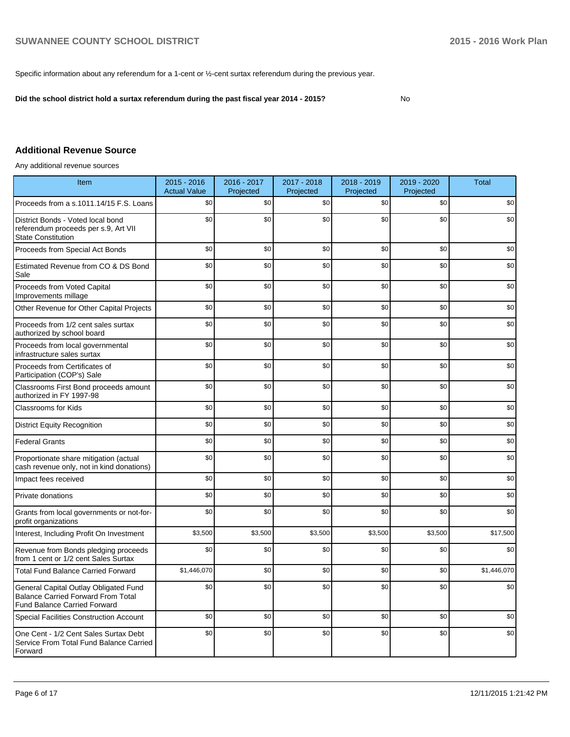Specific information about any referendum for a 1-cent or ½-cent surtax referendum during the previous year.

**Did the school district hold a surtax referendum during the past fiscal year 2014 - 2015?**

No

# **Additional Revenue Source**

Any additional revenue sources

| Item                                                                                                                      | 2015 - 2016<br><b>Actual Value</b> | 2016 - 2017<br>Projected | 2017 - 2018<br>Projected | 2018 - 2019<br>Projected | 2019 - 2020<br>Projected | <b>Total</b> |
|---------------------------------------------------------------------------------------------------------------------------|------------------------------------|--------------------------|--------------------------|--------------------------|--------------------------|--------------|
| Proceeds from a s.1011.14/15 F.S. Loans                                                                                   | \$0                                | \$0                      | \$0                      | \$0                      | \$0                      | \$0          |
| District Bonds - Voted local bond<br>referendum proceeds per s.9, Art VII<br><b>State Constitution</b>                    | \$0                                | \$0                      | \$0                      | \$0                      | \$0                      | \$0          |
| Proceeds from Special Act Bonds                                                                                           | \$0                                | \$0                      | \$0                      | \$0                      | \$0                      | \$0          |
| Estimated Revenue from CO & DS Bond<br>Sale                                                                               | \$0                                | \$0                      | \$0                      | \$0                      | \$0                      | \$0          |
| Proceeds from Voted Capital<br>Improvements millage                                                                       | \$0                                | \$0                      | \$0                      | \$0                      | \$0                      | \$0          |
| Other Revenue for Other Capital Projects                                                                                  | \$0                                | \$0                      | \$0                      | \$0                      | \$0                      | \$0          |
| Proceeds from 1/2 cent sales surtax<br>authorized by school board                                                         | \$0                                | \$0                      | \$0                      | \$0                      | \$0                      | \$0          |
| Proceeds from local governmental<br>infrastructure sales surtax                                                           | \$0                                | \$0                      | \$0                      | \$0                      | \$0                      | \$0          |
| Proceeds from Certificates of<br>Participation (COP's) Sale                                                               | \$0                                | \$0                      | \$0                      | \$0                      | \$0                      | \$0          |
| Classrooms First Bond proceeds amount<br>authorized in FY 1997-98                                                         | \$0                                | \$0                      | \$0                      | \$0                      | \$0                      | \$0          |
| Classrooms for Kids                                                                                                       | \$0                                | \$0                      | \$0                      | \$0                      | \$0                      | \$0          |
| <b>District Equity Recognition</b>                                                                                        | \$0                                | \$0                      | \$0                      | \$0                      | \$0                      | \$0          |
| <b>Federal Grants</b>                                                                                                     | \$0                                | \$0                      | \$0                      | \$0                      | \$0                      | \$0          |
| Proportionate share mitigation (actual<br>cash revenue only, not in kind donations)                                       | \$0                                | \$0                      | \$0                      | \$0                      | \$0                      | \$0          |
| Impact fees received                                                                                                      | \$0                                | \$0                      | \$0                      | \$0                      | \$0                      | \$0          |
| Private donations                                                                                                         | \$0                                | \$0                      | \$0                      | \$0                      | \$0                      | \$0          |
| Grants from local governments or not-for-<br>profit organizations                                                         | \$0                                | \$0                      | \$0                      | \$0                      | \$0                      | \$0          |
| Interest, Including Profit On Investment                                                                                  | \$3,500                            | \$3,500                  | \$3,500                  | \$3,500                  | \$3,500                  | \$17,500     |
| Revenue from Bonds pledging proceeds<br>from 1 cent or 1/2 cent Sales Surtax                                              | \$0                                | \$0                      | \$0                      | \$0                      | \$0                      | \$0          |
| <b>Total Fund Balance Carried Forward</b>                                                                                 | \$1,446,070                        | \$0                      | \$0                      | \$0                      | \$0                      | \$1,446,070  |
| General Capital Outlay Obligated Fund<br><b>Balance Carried Forward From Total</b><br><b>Fund Balance Carried Forward</b> | \$0                                | \$0                      | \$0                      | \$0                      | \$0                      | \$0          |
| <b>Special Facilities Construction Account</b>                                                                            | \$0                                | \$0                      | \$0                      | \$0                      | \$0                      | \$0          |
| One Cent - 1/2 Cent Sales Surtax Debt<br>Service From Total Fund Balance Carried<br>Forward                               | \$0                                | \$0                      | \$0                      | \$0                      | \$0                      | \$0          |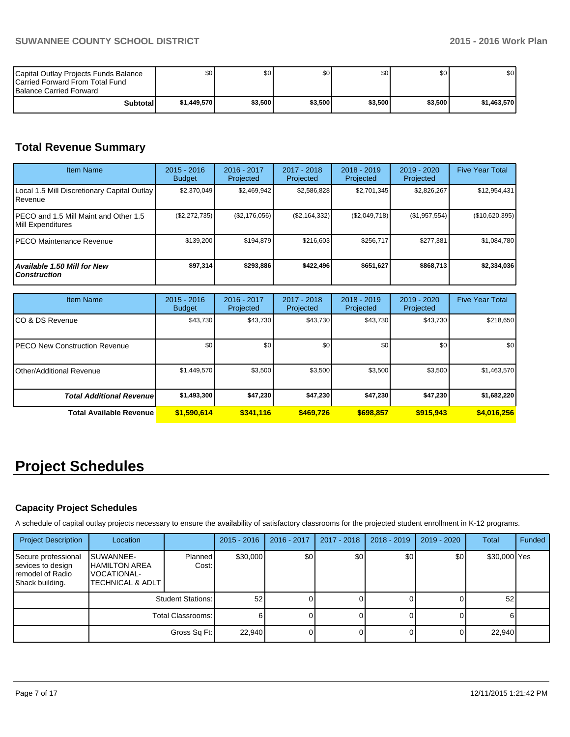| Capital Outlay Projects Funds Balance<br><b>ICarried Forward From Total Fund</b><br><b>Balance Carried Forward</b> | \$O I       | \$0     | \$0     | \$0     | \$0     | \$0 <sub>1</sub> |
|--------------------------------------------------------------------------------------------------------------------|-------------|---------|---------|---------|---------|------------------|
| Subtotal I                                                                                                         | \$1,449,570 | \$3,500 | \$3.500 | \$3,500 | \$3,500 | \$1,463,570      |

# **Total Revenue Summary**

| <b>Item Name</b>                                           | $2015 - 2016$<br><b>Budget</b> | $2016 - 2017$<br>Projected | $2017 - 2018$<br>Projected | $2018 - 2019$<br>Projected | $2019 - 2020$<br>Projected | <b>Five Year Total</b> |
|------------------------------------------------------------|--------------------------------|----------------------------|----------------------------|----------------------------|----------------------------|------------------------|
| Local 1.5 Mill Discretionary Capital Outlay<br>l Revenue   | \$2,370,049                    | \$2,469,942                | \$2,586,828                | \$2,701,345                | \$2,826,267                | \$12,954,431           |
| PECO and 1.5 Mill Maint and Other 1.5<br>Mill Expenditures | (\$2,272,735)                  | (\$2,176,056)              | (\$2,164,332)              | (\$2,049,718)              | (\$1,957,554)              | (\$10,620,395)         |
| IPECO Maintenance Revenue                                  | \$139,200                      | \$194.879                  | \$216.603                  | \$256.717                  | \$277,381                  | \$1,084,780            |
| <b>Available 1.50 Mill for New</b><br><b>Construction</b>  | \$97,314                       | \$293,886                  | \$422.496                  | \$651,627                  | \$868,713                  | \$2,334,036            |

| <b>Item Name</b>                      | $2015 - 2016$<br><b>Budget</b> | 2016 - 2017<br>Projected | 2017 - 2018<br>Projected | $2018 - 2019$<br>Projected | $2019 - 2020$<br>Projected | <b>Five Year Total</b> |
|---------------------------------------|--------------------------------|--------------------------|--------------------------|----------------------------|----------------------------|------------------------|
| ICO & DS Revenue                      | \$43,730                       | \$43,730                 | \$43,730                 | \$43,730                   | \$43,730                   | \$218,650              |
| <b>IPECO New Construction Revenue</b> | \$0                            | \$0                      | \$0                      | \$0                        | \$0                        | \$0                    |
| IOther/Additional Revenue             | \$1,449,570                    | \$3,500                  | \$3,500                  | \$3,500                    | \$3,500                    | \$1,463,570            |
| <b>Total Additional Revenuel</b>      | \$1,493,300                    | \$47,230                 | \$47,230                 | \$47,230                   | \$47,230                   | \$1,682,220            |
| Total Available Revenue               | \$1,590,614                    | \$341,116                | \$469.726                | \$698.857                  | \$915.943                  | \$4,016,256            |

# **Project Schedules**

# **Capacity Project Schedules**

A schedule of capital outlay projects necessary to ensure the availability of satisfactory classrooms for the projected student enrollment in K-12 programs.

| <b>Project Description</b>                                                      | Location                                                                          |                          | $2015 - 2016$ | 2016 - 2017      | 2017 - 2018 | $2018 - 2019$ | $2019 - 2020$ | <b>Total</b> | Funded |
|---------------------------------------------------------------------------------|-----------------------------------------------------------------------------------|--------------------------|---------------|------------------|-------------|---------------|---------------|--------------|--------|
| Secure professional<br>sevices to design<br>remodel of Radio<br>Shack building. | SUWANNEE-<br><b>HAMILTON AREA</b><br>VOCATIONAL-<br><b>TECHNICAL &amp; ADLT I</b> | Planned<br>Cost:         | \$30,000      | \$0 <sub>0</sub> | \$0         | \$0           | \$0           | \$30,000 Yes |        |
|                                                                                 |                                                                                   | <b>Student Stations:</b> | 52            |                  |             |               |               | 52           |        |
|                                                                                 | Total Classrooms:                                                                 |                          |               |                  |             |               |               |              |        |
|                                                                                 |                                                                                   | Gross Sq Ft:             | 22.940        |                  |             |               |               | 22,940       |        |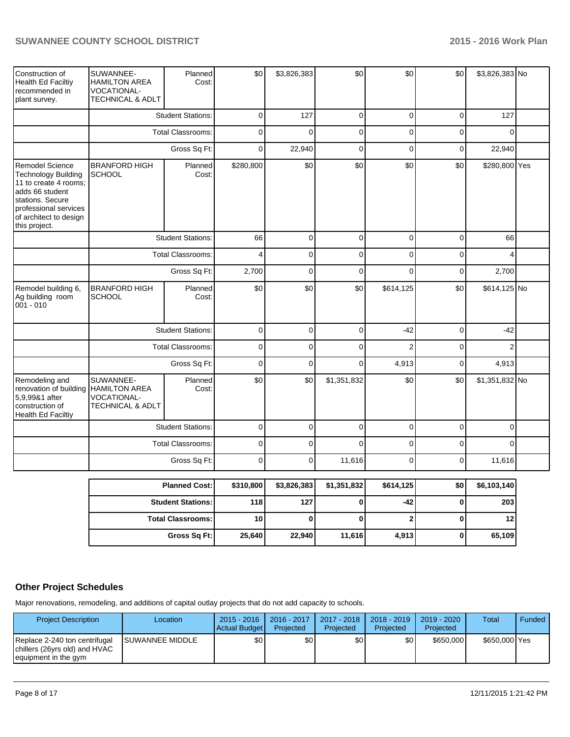| Construction of<br>Health Ed Faciltiy<br>recommended in<br>plant survey.                                                                                                                 | SUWANNEE-<br><b>HAMILTON AREA</b><br>VOCATIONAL-<br>TECHNICAL & ADLT            | Planned<br>Cost:         | \$0         | \$3,826,383    | \$0            | \$0            | \$0            | \$3,826,383 No |  |
|------------------------------------------------------------------------------------------------------------------------------------------------------------------------------------------|---------------------------------------------------------------------------------|--------------------------|-------------|----------------|----------------|----------------|----------------|----------------|--|
|                                                                                                                                                                                          |                                                                                 | <b>Student Stations:</b> | $\pmb{0}$   | 127            | $\pmb{0}$      | $\mathbf 0$    | $\overline{0}$ | 127            |  |
|                                                                                                                                                                                          |                                                                                 | <b>Total Classrooms:</b> | $\mathbf 0$ | $\mathbf 0$    | $\pmb{0}$      | $\mathbf 0$    | $\mathbf 0$    | 0              |  |
|                                                                                                                                                                                          | Gross Sq Ft:                                                                    |                          | $\mathbf 0$ | 22,940         | $\mathbf 0$    | $\mathbf 0$    | $\mathbf 0$    | 22,940         |  |
| <b>Remodel Science</b><br><b>Technology Building</b><br>11 to create 4 rooms;<br>adds 66 student<br>stations. Secure<br>professional services<br>of architect to design<br>this project. | <b>BRANFORD HIGH</b><br><b>SCHOOL</b>                                           | Planned<br>Cost:         | \$280,800   | \$0            | \$0            | \$0            | \$0            | \$280,800 Yes  |  |
|                                                                                                                                                                                          |                                                                                 | <b>Student Stations:</b> | 66          | $\mathbf 0$    | $\pmb{0}$      | $\mathbf 0$    | $\mathbf 0$    | 66             |  |
|                                                                                                                                                                                          |                                                                                 | <b>Total Classrooms:</b> | 4           | $\mathbf 0$    | $\mathbf 0$    | $\overline{0}$ | $\mathbf 0$    | 4              |  |
|                                                                                                                                                                                          |                                                                                 | Gross Sq Ft:             | 2,700       | $\mathbf 0$    | $\mathbf 0$    | $\Omega$       | $\mathbf 0$    | 2,700          |  |
| Remodel building 6,<br>Ag building room<br>$001 - 010$                                                                                                                                   | <b>BRANFORD HIGH</b><br><b>SCHOOL</b>                                           | Planned<br>Cost:         | \$0         | \$0            | \$0            | \$614,125      | \$0            | \$614,125 No   |  |
|                                                                                                                                                                                          |                                                                                 | <b>Student Stations:</b> | $\pmb{0}$   | $\mathbf 0$    | $\mathbf 0$    | $-42$          | $\mathbf 0$    | $-42$          |  |
|                                                                                                                                                                                          |                                                                                 | <b>Total Classrooms:</b> | $\pmb{0}$   | $\overline{0}$ | $\overline{0}$ | $\overline{2}$ | $\mathbf 0$    | $\overline{2}$ |  |
|                                                                                                                                                                                          |                                                                                 | Gross Sq Ft:             | $\mathbf 0$ | $\mathbf 0$    | $\mathbf 0$    | 4,913          | $\mathbf 0$    | 4,913          |  |
| Remodeling and<br>renovation of building<br>5,9,99&1 after<br>construction of<br>Health Ed Faciltiy                                                                                      | SUWANNEE-<br><b>HAMILTON AREA</b><br>VOCATIONAL-<br><b>TECHNICAL &amp; ADLT</b> | Planned<br>Cost:         | \$0         | \$0            | \$1,351,832    | \$0            | \$0            | \$1,351,832 No |  |
|                                                                                                                                                                                          |                                                                                 | <b>Student Stations:</b> | $\mathbf 0$ | $\mathbf 0$    | $\mathbf 0$    | $\overline{0}$ | $\mathbf 0$    | $\overline{0}$ |  |
|                                                                                                                                                                                          |                                                                                 | <b>Total Classrooms:</b> | $\mathsf 0$ | $\overline{0}$ | $\mathbf{0}$   | $\overline{0}$ | $\mathbf 0$    | $\Omega$       |  |
|                                                                                                                                                                                          |                                                                                 | Gross Sq Ft:             | $\mathbf 0$ | $\overline{0}$ | 11,616         | $\overline{0}$ | $\mathbf 0$    | 11,616         |  |
|                                                                                                                                                                                          |                                                                                 | <b>Planned Cost:</b>     | \$310,800   | \$3,826,383    | \$1,351,832    | \$614,125      | \$0            | \$6,103,140    |  |
|                                                                                                                                                                                          |                                                                                 | <b>Student Stations:</b> | 118         | 127            | 0              | -42            | $\bf{0}$       | 203            |  |
|                                                                                                                                                                                          |                                                                                 | <b>Total Classrooms:</b> | 10          | $\bf{0}$       | $\bf{0}$       | $\overline{2}$ | $\mathbf{0}$   | 12             |  |

# **Other Project Schedules**

Major renovations, remodeling, and additions of capital outlay projects that do not add capacity to schools.

| <b>Project Description</b>                                                             | Location                | $2015 - 2016$<br>Actual Budget | 2016 - 2017<br>Projected | 2017 - 2018<br>Projected | $2018 - 2019$<br>Projected | 2019 - 2020<br>Projected | <b>Total</b>  | Funded |
|----------------------------------------------------------------------------------------|-------------------------|--------------------------------|--------------------------|--------------------------|----------------------------|--------------------------|---------------|--------|
| Replace 2-240 ton centrifugal<br>chillers (26yrs old) and HVAC<br>equipment in the gym | <b>ISUWANNEE MIDDLE</b> | \$0                            | \$0 <sub>l</sub>         | \$0                      | \$O I                      | \$650,000                | \$650,000 Yes |        |

**Gross Sq Ft: 25,640 22,940 11,616 4,913 0 65,109**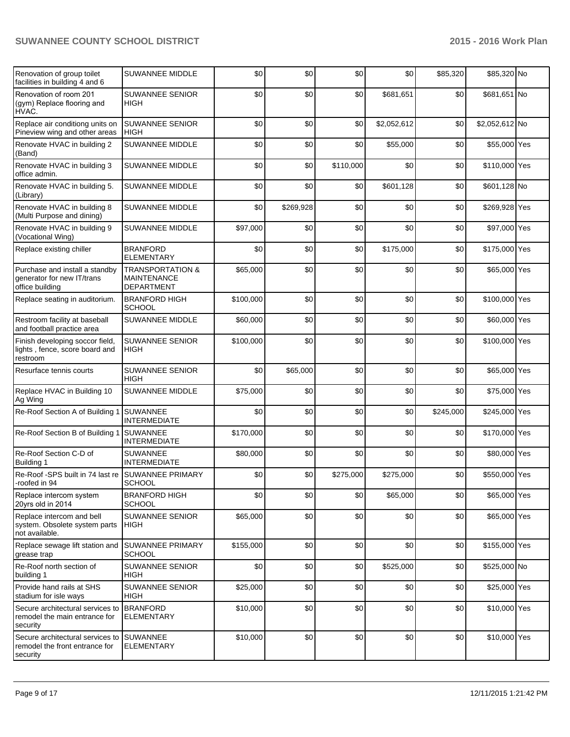| Renovation of group toilet<br>facilities in building 4 and 6                    | SUWANNEE MIDDLE                                                        | \$0       | \$0       | \$0       | \$0         | \$85,320  | \$85,320 No    |  |
|---------------------------------------------------------------------------------|------------------------------------------------------------------------|-----------|-----------|-----------|-------------|-----------|----------------|--|
| Renovation of room 201<br>(gym) Replace flooring and<br>HVAC.                   | <b>SUWANNEE SENIOR</b><br><b>HIGH</b>                                  | \$0       | \$0       | \$0       | \$681,651   | \$0       | \$681,651 No   |  |
| Replace air conditiong units on<br>Pineview wing and other areas                | <b>SUWANNEE SENIOR</b><br><b>HIGH</b>                                  | \$0       | \$0       | \$0       | \$2,052,612 | \$0       | \$2,052,612 No |  |
| Renovate HVAC in building 2<br>(Band)                                           | <b>SUWANNEE MIDDLE</b>                                                 | \$0       | \$0       | \$0       | \$55,000    | \$0       | \$55,000 Yes   |  |
| Renovate HVAC in building 3<br>office admin.                                    | SUWANNEE MIDDLE                                                        | \$0       | \$0       | \$110,000 | \$0         | \$0       | \$110,000 Yes  |  |
| Renovate HVAC in building 5.<br>(Library)                                       | SUWANNEE MIDDLE                                                        | \$0       | \$0       | \$0       | \$601,128   | \$0       | \$601,128 No   |  |
| Renovate HVAC in building 8<br>(Multi Purpose and dining)                       | SUWANNEE MIDDLE                                                        | \$0       | \$269,928 | \$0       | \$0         | \$0       | \$269,928 Yes  |  |
| Renovate HVAC in building 9<br>(Vocational Wing)                                | <b>SUWANNEE MIDDLE</b>                                                 | \$97,000  | \$0       | \$0       | \$0         | \$0       | \$97,000 Yes   |  |
| Replace existing chiller                                                        | <b>BRANFORD</b><br><b>ELEMENTARY</b>                                   | \$0       | \$0       | \$0       | \$175,000   | \$0       | \$175,000 Yes  |  |
| Purchase and install a standby<br>generator for new IT/trans<br>office building | <b>TRANSPORTATION &amp;</b><br><b>MAINTENANCE</b><br><b>DEPARTMENT</b> | \$65,000  | \$0       | \$0       | \$0         | \$0       | \$65,000 Yes   |  |
| Replace seating in auditorium.                                                  | <b>BRANFORD HIGH</b><br><b>SCHOOL</b>                                  | \$100,000 | \$0       | \$0       | \$0         | \$0       | \$100,000 Yes  |  |
| Restroom facility at baseball<br>and football practice area                     | <b>SUWANNEE MIDDLE</b>                                                 | \$60,000  | \$0       | \$0       | \$0         | \$0       | \$60,000 Yes   |  |
| Finish developing soccor field,<br>lights, fence, score board and<br>restroom   | <b>SUWANNEE SENIOR</b><br><b>HIGH</b>                                  | \$100,000 | \$0       | \$0       | \$0         | \$0       | \$100,000 Yes  |  |
| Resurface tennis courts                                                         | <b>SUWANNEE SENIOR</b><br><b>HIGH</b>                                  | \$0       | \$65,000  | \$0       | \$0         | \$0       | \$65,000 Yes   |  |
| Replace HVAC in Building 10<br>Ag Wing                                          | <b>SUWANNEE MIDDLE</b>                                                 | \$75,000  | \$0       | \$0       | \$0         | \$0       | \$75,000 Yes   |  |
| Re-Roof Section A of Building 1                                                 | <b>SUWANNEE</b><br><b>INTERMEDIATE</b>                                 | \$0       | \$0       | \$0       | \$0         | \$245,000 | \$245,000 Yes  |  |
| Re-Roof Section B of Building 1                                                 | <b>SUWANNEE</b><br><b>INTERMEDIATE</b>                                 | \$170,000 | \$0       | \$0       | \$0         | \$0       | \$170,000 Yes  |  |
| Re-Roof Section C-D of<br>Building 1                                            | <b>SUWANNEE</b><br><b>INTERMEDIATE</b>                                 | \$80,000  | \$0       | \$0       | \$0         | \$0       | \$80,000 Yes   |  |
| Re-Roof -SPS built in 74 last re<br>roofed in 94                                | <b>SUWANNEE PRIMARY</b><br>SCHOOL                                      | \$0       | \$0       | \$275,000 | \$275,000   | \$0       | \$550,000 Yes  |  |
| Replace intercom system<br>20yrs old in 2014                                    | <b>BRANFORD HIGH</b><br><b>SCHOOL</b>                                  | \$0       | \$0       | \$0       | \$65,000    | \$0       | \$65,000 Yes   |  |
| Replace intercom and bell<br>system. Obsolete system parts<br>not available.    | <b>SUWANNEE SENIOR</b><br><b>HIGH</b>                                  | \$65,000  | \$0       | \$0       | \$0         | \$0       | \$65,000 Yes   |  |
| Replace sewage lift station and<br>grease trap                                  | SUWANNEE PRIMARY<br><b>SCHOOL</b>                                      | \$155,000 | \$0       | \$0       | \$0         | \$0       | \$155,000 Yes  |  |
| Re-Roof north section of<br>building 1                                          | SUWANNEE SENIOR<br>HIGH                                                | \$0       | \$0       | \$0       | \$525,000   | \$0       | \$525,000 No   |  |
| Provide hand rails at SHS<br>stadium for isle ways                              | <b>SUWANNEE SENIOR</b><br>HIGH                                         | \$25,000  | \$0       | \$0       | \$0         | \$0       | \$25,000 Yes   |  |
| Secure architectural services to<br>remodel the main entrance for<br>security   | <b>BRANFORD</b><br>ELEMENTARY                                          | \$10,000  | \$0       | \$0       | \$0         | \$0       | \$10,000 Yes   |  |
| Secure architectural services to<br>remodel the front entrance for<br>security  | <b>SUWANNEE</b><br><b>ELEMENTARY</b>                                   | \$10,000  | \$0       | \$0       | \$0         | \$0       | \$10,000 Yes   |  |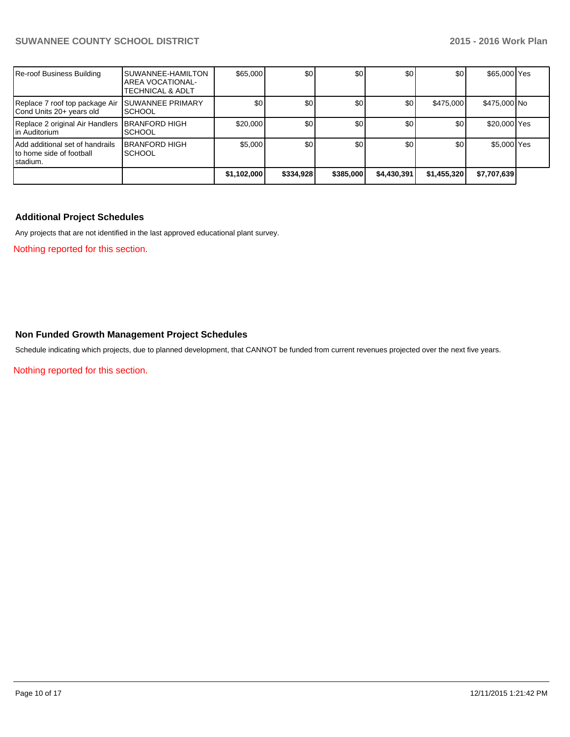| Re-roof Business Building                                               | <b>SUWANNEE-HAMILTON</b><br><b>AREA VOCATIONAL-</b><br><b>TECHNICAL &amp; ADLT</b> | \$65,000    | \$0 <sub>1</sub> | \$0       | \$0         | \$0 <sub>l</sub> | \$65,000 Yes |  |
|-------------------------------------------------------------------------|------------------------------------------------------------------------------------|-------------|------------------|-----------|-------------|------------------|--------------|--|
| Replace 7 roof top package Air<br>Cond Units 20+ years old              | <b>SUWANNEE PRIMARY</b><br><b>SCHOOL</b>                                           | \$0         | \$0              | \$0       | \$0'        | \$475,000        | \$475,000 No |  |
| Replace 2 original Air Handlers<br>in Auditorium                        | <b>BRANFORD HIGH</b><br><b>ISCHOOL</b>                                             | \$20,000    | \$0 <sub>1</sub> | \$0       | \$0         | \$0 <sub>1</sub> | \$20,000 Yes |  |
| Add additional set of handrails<br>to home side of football<br>stadium. | <b>BRANFORD HIGH</b><br><b>SCHOOL</b>                                              | \$5,000     | \$0              | \$0       | \$0         | \$0              | \$5,000 Yes  |  |
|                                                                         |                                                                                    | \$1,102,000 | \$334,928        | \$385,000 | \$4,430,391 | \$1,455,320      | \$7,707,639  |  |

# **Additional Project Schedules**

Any projects that are not identified in the last approved educational plant survey.

Nothing reported for this section.

### **Non Funded Growth Management Project Schedules**

Schedule indicating which projects, due to planned development, that CANNOT be funded from current revenues projected over the next five years.

Nothing reported for this section.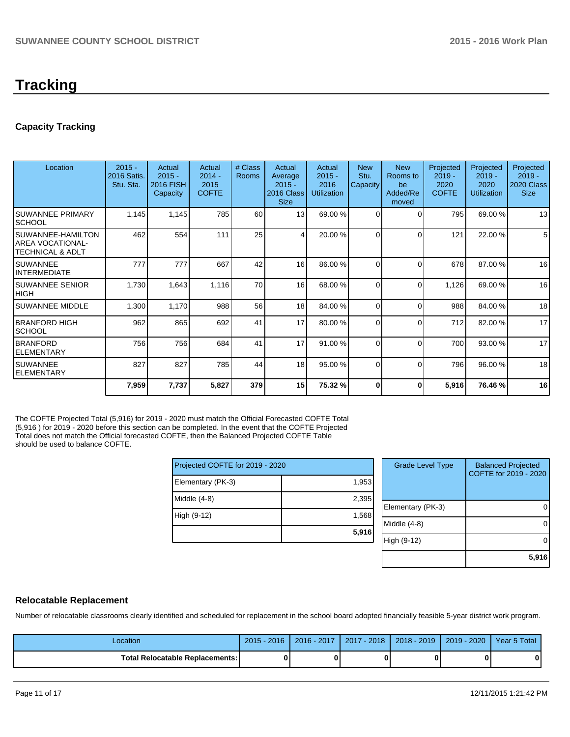# **Tracking**

# **Capacity Tracking**

| Location                                                             | $2015 -$<br>2016 Satis.<br>Stu. Sta. | Actual<br>$2015 -$<br>2016 FISH<br>Capacity | Actual<br>$2014 -$<br>2015<br><b>COFTE</b> | # Class<br><b>Rooms</b> | Actual<br>Average<br>$2015 -$<br><b>2016 Class</b><br><b>Size</b> | Actual<br>$2015 -$<br>2016<br><b>Utilization</b> | <b>New</b><br>Stu.<br>Capacity | <b>New</b><br>Rooms to<br>be<br>Added/Re<br>moved | Projected<br>$2019 -$<br>2020<br><b>COFTE</b> | Projected<br>$2019 -$<br>2020<br><b>Utilization</b> | Projected<br>$2019 -$<br>2020 Class<br><b>Size</b> |
|----------------------------------------------------------------------|--------------------------------------|---------------------------------------------|--------------------------------------------|-------------------------|-------------------------------------------------------------------|--------------------------------------------------|--------------------------------|---------------------------------------------------|-----------------------------------------------|-----------------------------------------------------|----------------------------------------------------|
| <b>SUWANNEE PRIMARY</b><br><b>SCHOOL</b>                             | 1,145                                | 1,145                                       | 785                                        | 60                      | 13                                                                | 69.00 %                                          | $\Omega$                       | 0                                                 | 795                                           | 69.00 %                                             | 13                                                 |
| SUWANNEE-HAMILTON<br>AREA VOCATIONAL-<br><b>TECHNICAL &amp; ADLT</b> | 462                                  | 554                                         | 111                                        | 25                      | $\vert$                                                           | 20.00 %                                          | $\Omega$                       | ∩                                                 | 121                                           | 22.00 %                                             | 5                                                  |
| <b>SUWANNEE</b><br><b>INTERMEDIATE</b>                               | 777                                  | 777                                         | 667                                        | 42                      | 16                                                                | 86.00 %                                          | $\Omega$                       | $\Omega$                                          | 678                                           | 87.00 %                                             | 16                                                 |
| <b>SUWANNEE SENIOR</b><br><b>HIGH</b>                                | 1,730                                | 1,643                                       | 1,116                                      | 70                      | 16                                                                | 68.00 %                                          | $\Omega$                       | $\Omega$                                          | 1,126                                         | 69.00 %                                             | 16                                                 |
| <b>SUWANNEE MIDDLE</b>                                               | 1,300                                | 1,170                                       | 988                                        | 56                      | 18                                                                | 84.00 %                                          | $\Omega$                       | $\Omega$                                          | 988                                           | 84.00%                                              | 18                                                 |
| <b>BRANFORD HIGH</b><br><b>SCHOOL</b>                                | 962                                  | 865                                         | 692                                        | 41                      | 17                                                                | 80.00 %                                          | $\Omega$                       | $\Omega$                                          | 712                                           | 82.00 %                                             | 17                                                 |
| <b>BRANFORD</b><br>ELEMENTARY                                        | 756                                  | 756                                         | 684                                        | 41                      | 17                                                                | 91.00 %                                          | $\Omega$                       | $\Omega$                                          | 700                                           | 93.00 %                                             | 17                                                 |
| <b>SUWANNEE</b><br><b>ELEMENTARY</b>                                 | 827                                  | 827                                         | 785                                        | 44                      | 18                                                                | 95.00 %                                          | $\Omega$                       | 0                                                 | 796                                           | 96.00 %                                             | 18                                                 |
|                                                                      | 7,959                                | 7,737                                       | 5,827                                      | 379                     | 15 <sub>l</sub>                                                   | 75.32 %                                          | 0                              | 0                                                 | 5,916                                         | 76.46 %                                             | 16                                                 |

The COFTE Projected Total (5,916) for 2019 - 2020 must match the Official Forecasted COFTE Total (5,916 ) for 2019 - 2020 before this section can be completed. In the event that the COFTE Projected Total does not match the Official forecasted COFTE, then the Balanced Projected COFTE Table should be used to balance COFTE.

| Projected COFTE for 2019 - 2020 |       |
|---------------------------------|-------|
| Elementary (PK-3)               | 1,953 |
| Middle $(4-8)$                  | 2,395 |
| High (9-12)                     | 1,568 |
|                                 | 5,916 |

| <b>Grade Level Type</b> | <b>Balanced Projected</b><br>COFTE for 2019 - 2020 |
|-------------------------|----------------------------------------------------|
| Elementary (PK-3)       |                                                    |
| Middle $(4-8)$          |                                                    |
| High (9-12)             |                                                    |
|                         | 5,916                                              |

### **Relocatable Replacement**

Number of relocatable classrooms clearly identified and scheduled for replacement in the school board adopted financially feasible 5-year district work program.

| Location                               | $2015 - 2016$ | 2016 - 2017 | $2017 - 2018$ | $2018 - 2019$ | 2019 - 2020 | Year 5 Total |
|----------------------------------------|---------------|-------------|---------------|---------------|-------------|--------------|
| <b>Total Relocatable Replacements:</b> |               |             |               |               |             | 0            |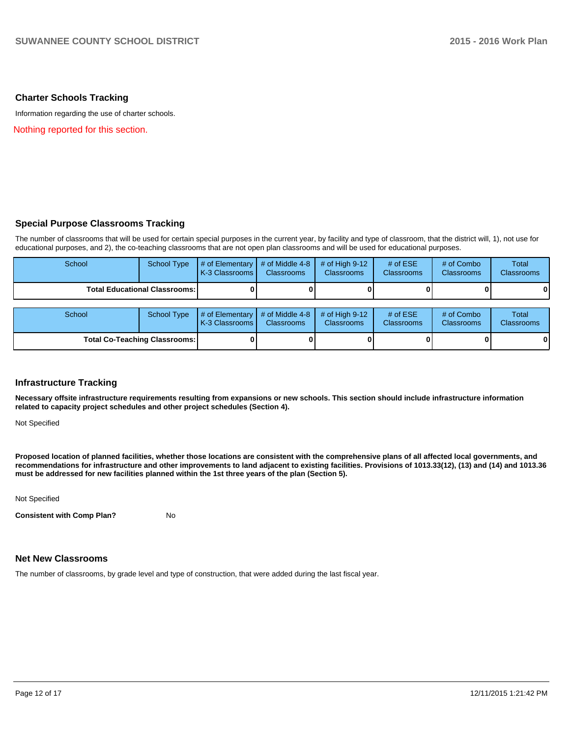### **Charter Schools Tracking**

Information regarding the use of charter schools.

Nothing reported for this section.

### **Special Purpose Classrooms Tracking**

The number of classrooms that will be used for certain special purposes in the current year, by facility and type of classroom, that the district will, 1), not use for educational purposes, and 2), the co-teaching classrooms that are not open plan classrooms and will be used for educational purposes.

| School                                 | <b>School Type</b> | $#$ of Elementary<br>K-3 Classrooms | # of Middle 4-8<br><b>Classrooms</b> | # of High $9-12$<br><b>Classrooms</b> | # of $ESE$<br><b>Classrooms</b> | # of Combo<br><b>Classrooms</b> | <b>Total</b><br><b>Classrooms</b> |
|----------------------------------------|--------------------|-------------------------------------|--------------------------------------|---------------------------------------|---------------------------------|---------------------------------|-----------------------------------|
| <b>Total Educational Classrooms: I</b> |                    |                                     |                                      |                                       |                                 |                                 |                                   |
| School                                 | <b>School Type</b> | # of Elementary<br>K-3 Classrooms   | # of Middle 4-8<br><b>Classrooms</b> | # of High $9-12$<br><b>Classrooms</b> | # of $ESE$<br>Classrooms        | # of Combo<br><b>Classrooms</b> | Total<br><b>Classrooms</b>        |
| <b>Total Co-Teaching Classrooms:</b>   |                    |                                     |                                      |                                       |                                 |                                 | 0                                 |

### **Infrastructure Tracking**

**Necessary offsite infrastructure requirements resulting from expansions or new schools. This section should include infrastructure information related to capacity project schedules and other project schedules (Section 4).**

Not Specified

**Proposed location of planned facilities, whether those locations are consistent with the comprehensive plans of all affected local governments, and recommendations for infrastructure and other improvements to land adjacent to existing facilities. Provisions of 1013.33(12), (13) and (14) and 1013.36 must be addressed for new facilities planned within the 1st three years of the plan (Section 5).**

Not Specified

**Consistent with Comp Plan?** No

### **Net New Classrooms**

The number of classrooms, by grade level and type of construction, that were added during the last fiscal year.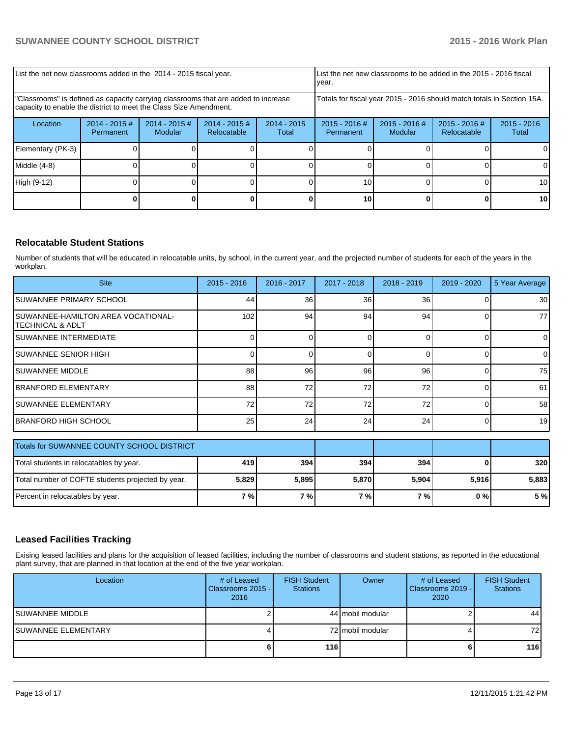| List the net new classrooms added in the 2014 - 2015 fiscal year.                                                                                       | List the net new classrooms to be added in the 2015 - 2016 fiscal<br>Ivear. |                            |                                |                        |                                                                        |                        |  |                 |
|---------------------------------------------------------------------------------------------------------------------------------------------------------|-----------------------------------------------------------------------------|----------------------------|--------------------------------|------------------------|------------------------------------------------------------------------|------------------------|--|-----------------|
| "Classrooms" is defined as capacity carrying classrooms that are added to increase<br>capacity to enable the district to meet the Class Size Amendment. |                                                                             |                            |                                |                        | Totals for fiscal year 2015 - 2016 should match totals in Section 15A. |                        |  |                 |
| Location                                                                                                                                                | $2014 - 2015$ #<br>Permanent                                                | $2014 - 2015$ #<br>Modular | $2014 - 2015$ #<br>Relocatable | $2014 - 2015$<br>Total | $2015 - 2016$ #<br>Permanent                                           | $2015 - 2016$<br>Total |  |                 |
| Elementary (PK-3)                                                                                                                                       |                                                                             |                            |                                |                        |                                                                        |                        |  | ΩI              |
| Middle $(4-8)$                                                                                                                                          |                                                                             |                            |                                |                        |                                                                        |                        |  | ΟI              |
| High (9-12)                                                                                                                                             |                                                                             |                            |                                |                        | 10 <sub>1</sub>                                                        |                        |  | 10 <sup>1</sup> |
|                                                                                                                                                         |                                                                             |                            |                                |                        | 10 <sup>1</sup>                                                        |                        |  | <b>10</b>       |

# **Relocatable Student Stations**

Number of students that will be educated in relocatable units, by school, in the current year, and the projected number of students for each of the years in the workplan.

| <b>Site</b>                                             | $2015 - 2016$ | 2016 - 2017 | 2017 - 2018 | 2018 - 2019 | 2019 - 2020 | 5 Year Average |
|---------------------------------------------------------|---------------|-------------|-------------|-------------|-------------|----------------|
| ISUWANNEE PRIMARY SCHOOL                                | 44            | 36          | 36          | 36          |             | 30             |
| SUWANNEE-HAMILTON AREA VOCATIONAL-<br>ITECHNICAL & ADLT | 102           | 94          | 94          | 94          |             | 77             |
| ISUWANNEE INTERMEDIATE                                  |               |             |             |             |             | $\overline{0}$ |
| ISUWANNEE SENIOR HIGH                                   |               |             |             |             |             | $\overline{0}$ |
| ISUWANNEE MIDDLE                                        | 88            | 96          | 96          | 96          |             | 75             |
| IBRANFORD ELEMENTARY                                    | 88            | 72          | 72          | 72          |             | 61             |
| ISUWANNEE ELEMENTARY                                    | 72            | 72          | 72          | 72          |             | 58             |
| IBRANFORD HIGH SCHOOL                                   | 25            | 24          | 24          | 24          | 0           | 19             |

| Totals for SUWANNEE COUNTY SCHOOL DISTRICT        |       |       |       |       |       |       |
|---------------------------------------------------|-------|-------|-------|-------|-------|-------|
| Total students in relocatables by year.           | 419 l | 394   | 394   | 3941  |       | 320   |
| Total number of COFTE students projected by year. | 5,829 | 5,895 | 5,870 | 5,904 | 5.916 | 5,883 |
| Percent in relocatables by year.                  | 7 % I | 7%1   | 7%1   | 7 % I | 0 % I | 5 %   |

# **Leased Facilities Tracking**

Exising leased facilities and plans for the acquisition of leased facilities, including the number of classrooms and student stations, as reported in the educational plant survey, that are planned in that location at the end of the five year workplan.

| Location             | # of Leased<br>Classrooms 2015 - I<br>2016 | <b>FISH Student</b><br><b>Stations</b> | Owner            | # of Leased<br>l Classrooms 2019 - I<br>2020 | <b>FISH Student</b><br><b>Stations</b> |
|----------------------|--------------------------------------------|----------------------------------------|------------------|----------------------------------------------|----------------------------------------|
| ISUWANNEE MIDDLE     |                                            |                                        | 44 mobil modular |                                              | 44                                     |
| ISUWANNEE ELEMENTARY |                                            |                                        | 72 mobil modular |                                              | 72 I                                   |
|                      | 61                                         | 116                                    |                  |                                              | 116                                    |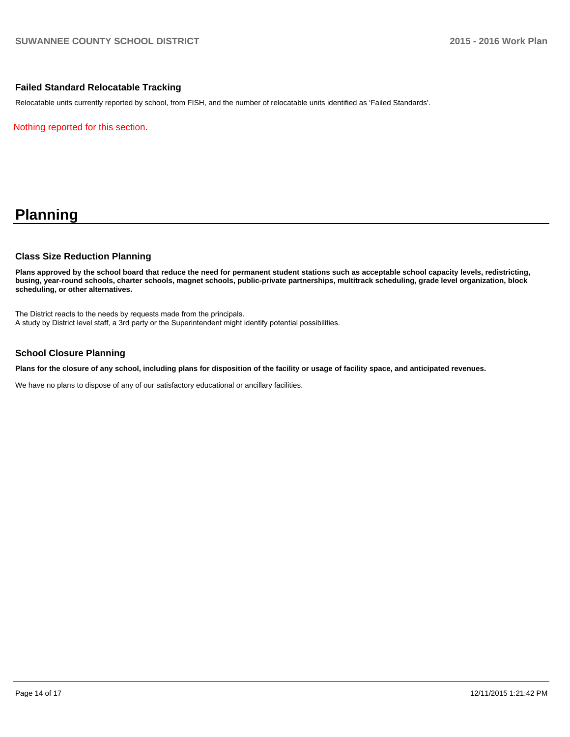# **Failed Standard Relocatable Tracking**

Relocatable units currently reported by school, from FISH, and the number of relocatable units identified as 'Failed Standards'.

Nothing reported for this section.

# **Planning**

### **Class Size Reduction Planning**

**Plans approved by the school board that reduce the need for permanent student stations such as acceptable school capacity levels, redistricting, busing, year-round schools, charter schools, magnet schools, public-private partnerships, multitrack scheduling, grade level organization, block scheduling, or other alternatives.**

The District reacts to the needs by requests made from the principals. A study by District level staff, a 3rd party or the Superintendent might identify potential possibilities.

# **School Closure Planning**

**Plans for the closure of any school, including plans for disposition of the facility or usage of facility space, and anticipated revenues.**

We have no plans to dispose of any of our satisfactory educational or ancillary facilities.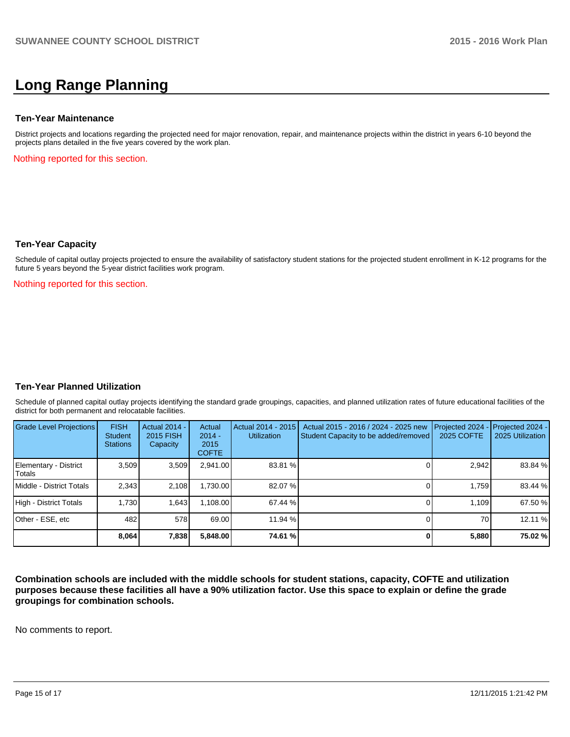# **Long Range Planning**

### **Ten-Year Maintenance**

District projects and locations regarding the projected need for major renovation, repair, and maintenance projects within the district in years 6-10 beyond the projects plans detailed in the five years covered by the work plan.

Nothing reported for this section.

### **Ten-Year Capacity**

Schedule of capital outlay projects projected to ensure the availability of satisfactory student stations for the projected student enrollment in K-12 programs for the future 5 years beyond the 5-year district facilities work program.

Nothing reported for this section.

### **Ten-Year Planned Utilization**

Schedule of planned capital outlay projects identifying the standard grade groupings, capacities, and planned utilization rates of future educational facilities of the district for both permanent and relocatable facilities.

| Grade Level Projections         | <b>FISH</b><br><b>Student</b><br><b>Stations</b> | <b>Actual 2014 -</b><br><b>2015 FISH</b><br>Capacity | Actual<br>$2014 -$<br>2015<br><b>COFTE</b> | Actual 2014 - 2015<br><b>Utilization</b> | Actual 2015 - 2016 / 2024 - 2025 new<br>Student Capacity to be added/removed | Projected 2024<br>2025 COFTE | $-$ Projected 2024 -<br>2025 Utilization |
|---------------------------------|--------------------------------------------------|------------------------------------------------------|--------------------------------------------|------------------------------------------|------------------------------------------------------------------------------|------------------------------|------------------------------------------|
| Elementary - District<br>Totals | 3,509                                            | 3,509                                                | 2,941.00                                   | 83.81 %                                  |                                                                              | 2,942                        | 83.84 %                                  |
| Middle - District Totals        | 2.343                                            | 2.108                                                | 1.730.00                                   | 82.07 %                                  |                                                                              | 1.759                        | 83.44 %                                  |
| High - District Totals          | 1.730                                            | 1,643                                                | 1.108.00                                   | 67.44 %                                  |                                                                              | 1.109                        | 67.50 %                                  |
| Other - ESE, etc                | 482                                              | 578                                                  | 69.00                                      | 11.94 %                                  |                                                                              | 70                           | 12.11 %                                  |
|                                 | 8.064                                            | 7,838                                                | 5.848.00                                   | 74.61 %l                                 |                                                                              | 5,880                        | 75.02 %                                  |

**Combination schools are included with the middle schools for student stations, capacity, COFTE and utilization purposes because these facilities all have a 90% utilization factor. Use this space to explain or define the grade groupings for combination schools.**

No comments to report.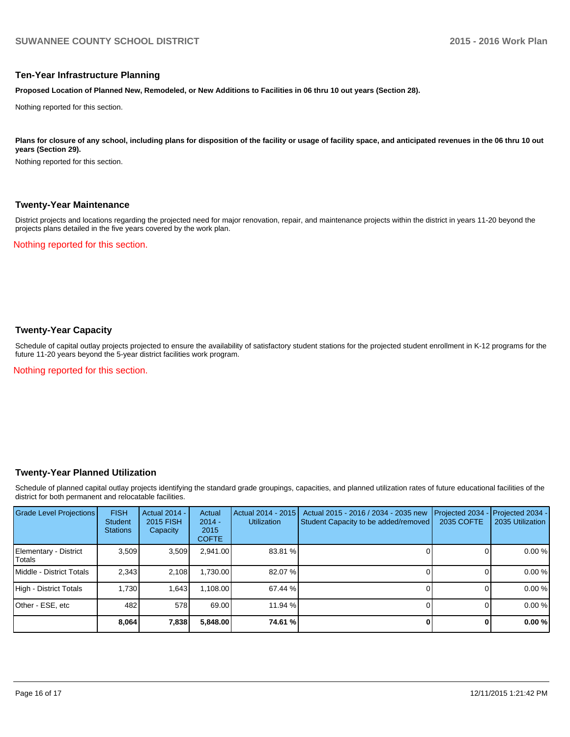### **Ten-Year Infrastructure Planning**

**Proposed Location of Planned New, Remodeled, or New Additions to Facilities in 06 thru 10 out years (Section 28).**

Nothing reported for this section.

Plans for closure of any school, including plans for disposition of the facility or usage of facility space, and anticipated revenues in the 06 thru 10 out **years (Section 29).**

Nothing reported for this section.

### **Twenty-Year Maintenance**

District projects and locations regarding the projected need for major renovation, repair, and maintenance projects within the district in years 11-20 beyond the projects plans detailed in the five years covered by the work plan.

Nothing reported for this section.

# **Twenty-Year Capacity**

Schedule of capital outlay projects projected to ensure the availability of satisfactory student stations for the projected student enrollment in K-12 programs for the future 11-20 years beyond the 5-year district facilities work program.

Nothing reported for this section.

### **Twenty-Year Planned Utilization**

Schedule of planned capital outlay projects identifying the standard grade groupings, capacities, and planned utilization rates of future educational facilities of the district for both permanent and relocatable facilities.

| <b>Grade Level Projections</b>   | <b>FISH</b><br><b>Student</b><br><b>Stations</b> | <b>Actual 2014 -</b><br>2015 FISH<br>Capacity | Actual<br>$2014 -$<br>2015<br><b>COFTE</b> | Actual 2014 - 2015<br>Utilization | Actual 2015 - 2016 / 2034 - 2035 new<br>Student Capacity to be added/removed | Projected 2034<br>2035 COFTE | Projected 2034 -<br>2035 Utilization |
|----------------------------------|--------------------------------------------------|-----------------------------------------------|--------------------------------------------|-----------------------------------|------------------------------------------------------------------------------|------------------------------|--------------------------------------|
| Elementary - District<br> Totals | 3,509                                            | 3,509                                         | 2,941.00                                   | 83.81 %                           |                                                                              |                              | 0.00%                                |
| <b>IMiddle - District Totals</b> | 2.343                                            | 2.108                                         | 1,730.00                                   | 82.07 %                           |                                                                              |                              | 0.00%                                |
| High - District Totals           | 1.730                                            | 1.643                                         | 1,108.00                                   | 67.44 %                           |                                                                              |                              | 0.00%                                |
| Other - ESE, etc                 | 482                                              | 578                                           | 69.00                                      | $11.94\%$                         |                                                                              |                              | 0.00%                                |
|                                  | 8,064                                            | 7,838                                         | 5,848.00                                   | 74.61 %l                          |                                                                              |                              | 0.00%                                |